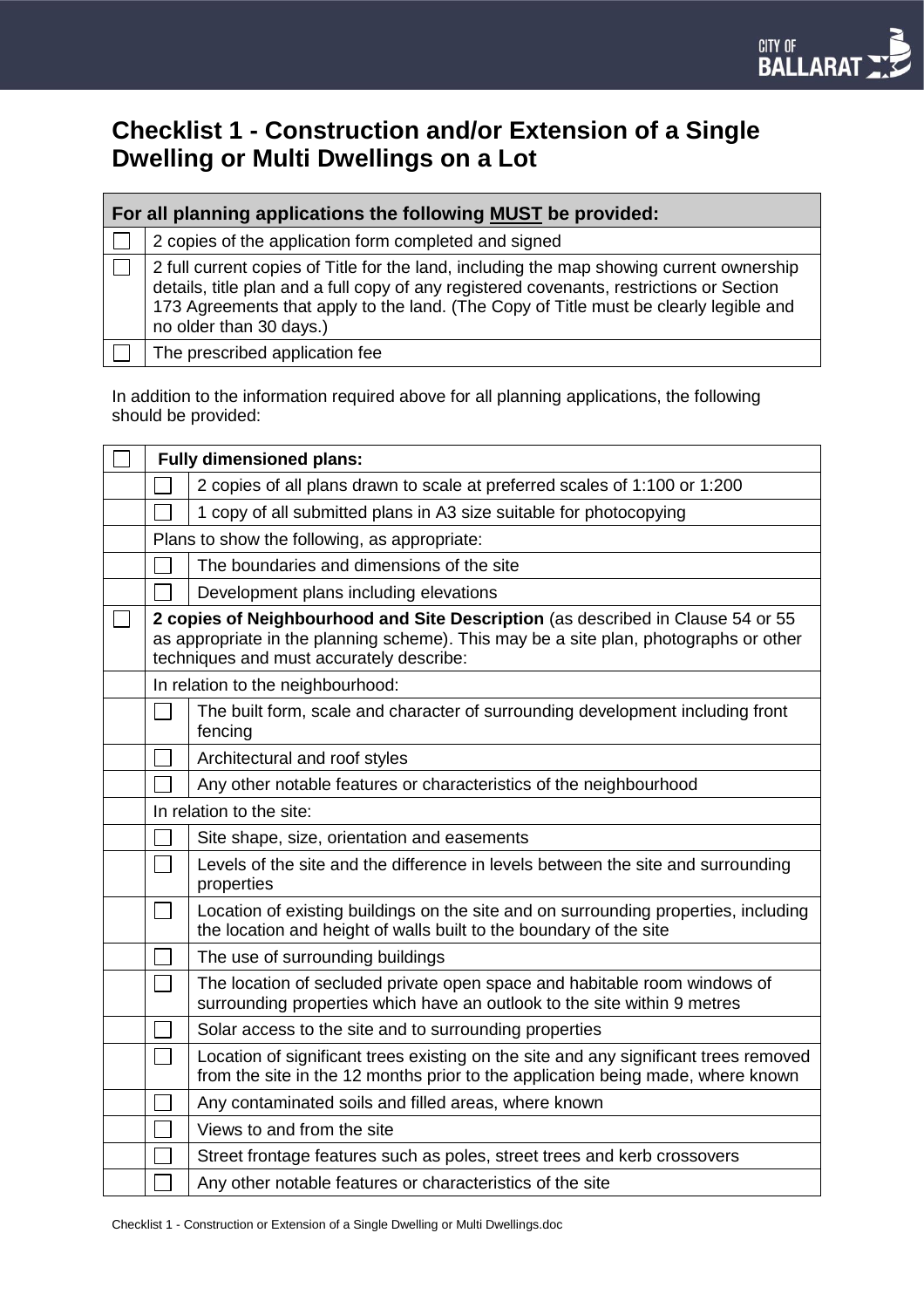# **Checklist 1 - Construction and/or Extension of a Single Dwelling or Multi Dwellings on a Lot**

| For all planning applications the following MUST be provided: |                                                                                                                                                                                                                                                                                                          |  |  |  |
|---------------------------------------------------------------|----------------------------------------------------------------------------------------------------------------------------------------------------------------------------------------------------------------------------------------------------------------------------------------------------------|--|--|--|
|                                                               | 2 copies of the application form completed and signed                                                                                                                                                                                                                                                    |  |  |  |
|                                                               | 2 full current copies of Title for the land, including the map showing current ownership<br>details, title plan and a full copy of any registered covenants, restrictions or Section<br>173 Agreements that apply to the land. (The Copy of Title must be clearly legible and<br>no older than 30 days.) |  |  |  |
|                                                               | The prescribed application fee                                                                                                                                                                                                                                                                           |  |  |  |

In addition to the information required above for all planning applications, the following should be provided:

| <b>Fully dimensioned plans:</b>                                                                                                                                                                                      |                                                                                                                                                                         |  |
|----------------------------------------------------------------------------------------------------------------------------------------------------------------------------------------------------------------------|-------------------------------------------------------------------------------------------------------------------------------------------------------------------------|--|
|                                                                                                                                                                                                                      | 2 copies of all plans drawn to scale at preferred scales of 1:100 or 1:200                                                                                              |  |
|                                                                                                                                                                                                                      | 1 copy of all submitted plans in A3 size suitable for photocopying                                                                                                      |  |
| Plans to show the following, as appropriate:                                                                                                                                                                         |                                                                                                                                                                         |  |
|                                                                                                                                                                                                                      | The boundaries and dimensions of the site                                                                                                                               |  |
|                                                                                                                                                                                                                      | Development plans including elevations                                                                                                                                  |  |
| 2 copies of Neighbourhood and Site Description (as described in Clause 54 or 55<br>as appropriate in the planning scheme). This may be a site plan, photographs or other<br>techniques and must accurately describe: |                                                                                                                                                                         |  |
| In relation to the neighbourhood:                                                                                                                                                                                    |                                                                                                                                                                         |  |
|                                                                                                                                                                                                                      | The built form, scale and character of surrounding development including front<br>fencing                                                                               |  |
|                                                                                                                                                                                                                      | Architectural and roof styles                                                                                                                                           |  |
|                                                                                                                                                                                                                      | Any other notable features or characteristics of the neighbourhood                                                                                                      |  |
| In relation to the site:                                                                                                                                                                                             |                                                                                                                                                                         |  |
|                                                                                                                                                                                                                      | Site shape, size, orientation and easements                                                                                                                             |  |
|                                                                                                                                                                                                                      | Levels of the site and the difference in levels between the site and surrounding<br>properties                                                                          |  |
|                                                                                                                                                                                                                      | Location of existing buildings on the site and on surrounding properties, including<br>the location and height of walls built to the boundary of the site               |  |
|                                                                                                                                                                                                                      | The use of surrounding buildings                                                                                                                                        |  |
|                                                                                                                                                                                                                      | The location of secluded private open space and habitable room windows of<br>surrounding properties which have an outlook to the site within 9 metres                   |  |
|                                                                                                                                                                                                                      | Solar access to the site and to surrounding properties                                                                                                                  |  |
|                                                                                                                                                                                                                      | Location of significant trees existing on the site and any significant trees removed<br>from the site in the 12 months prior to the application being made, where known |  |
|                                                                                                                                                                                                                      | Any contaminated soils and filled areas, where known                                                                                                                    |  |
|                                                                                                                                                                                                                      | Views to and from the site                                                                                                                                              |  |
|                                                                                                                                                                                                                      | Street frontage features such as poles, street trees and kerb crossovers                                                                                                |  |
|                                                                                                                                                                                                                      | Any other notable features or characteristics of the site                                                                                                               |  |